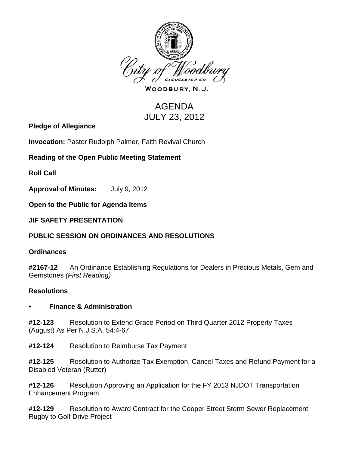

WOODBURY, N.J.

# AGENDA JULY 23, 2012

**Pledge of Allegiance**

**Invocation:** Pastor Rudolph Palmer, Faith Revival Church

## **Reading of the Open Public Meeting Statement**

**Roll Call**

**Approval of Minutes:** July 9, 2012

**Open to the Public for Agenda Items**

**JIF SAFETY PRESENTATION**

## **PUBLIC SESSION ON ORDINANCES AND RESOLUTIONS**

#### **Ordinances**

**#2167-12** An Ordinance Establishing Regulations for Dealers in Precious Metals, Gem and Gemstones *(First Reading)*

## **Resolutions**

#### **• Finance & Administration**

**#12-123** Resolution to Extend Grace Period on Third Quarter 2012 Property Taxes (August) As Per N.J.S.A. 54:4-67

**#12-124** Resolution to Reimburse Tax Payment

**#12-125** Resolution to Authorize Tax Exemption, Cancel Taxes and Refund Payment for a Disabled Veteran (Rutter)

**#12-126** Resolution Approving an Application for the FY 2013 NJDOT Transportation Enhancement Program

**#12-129** Resolution to Award Contract for the Cooper Street Storm Sewer Replacement Rugby to Golf Drive Project